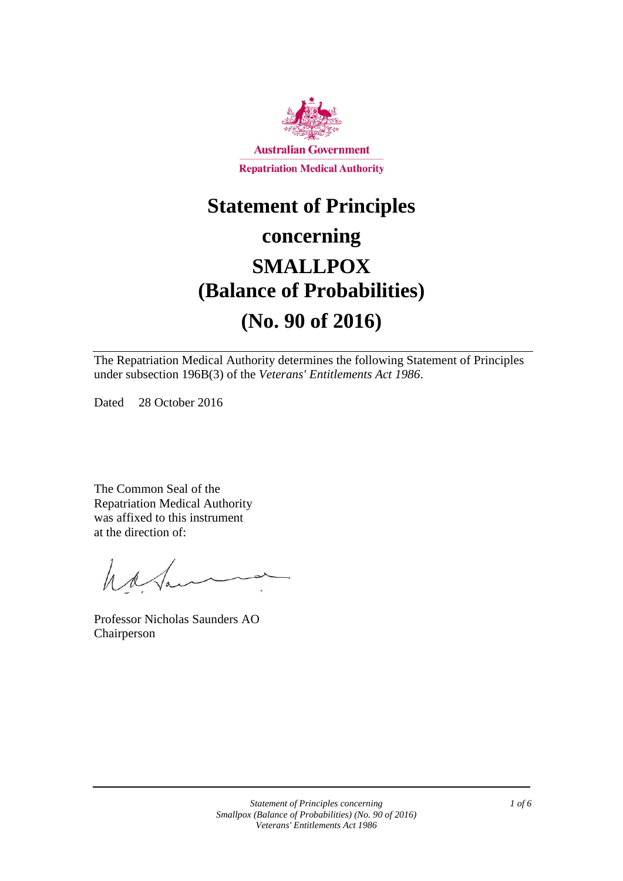

# **Statement of Principles**

# **concerning SMALLPOX (Balance of Probabilities)**

# **(No. 90 of 2016)**

The Repatriation Medical Authority determines the following Statement of Principles under subsection 196B(3) of the *Veterans' Entitlements Act 1986*.

Dated 28 October 2016

The Common Seal of the Repatriation Medical Authority was affixed to this instrument at the direction of:

have

Professor Nicholas Saunders AO Chairperson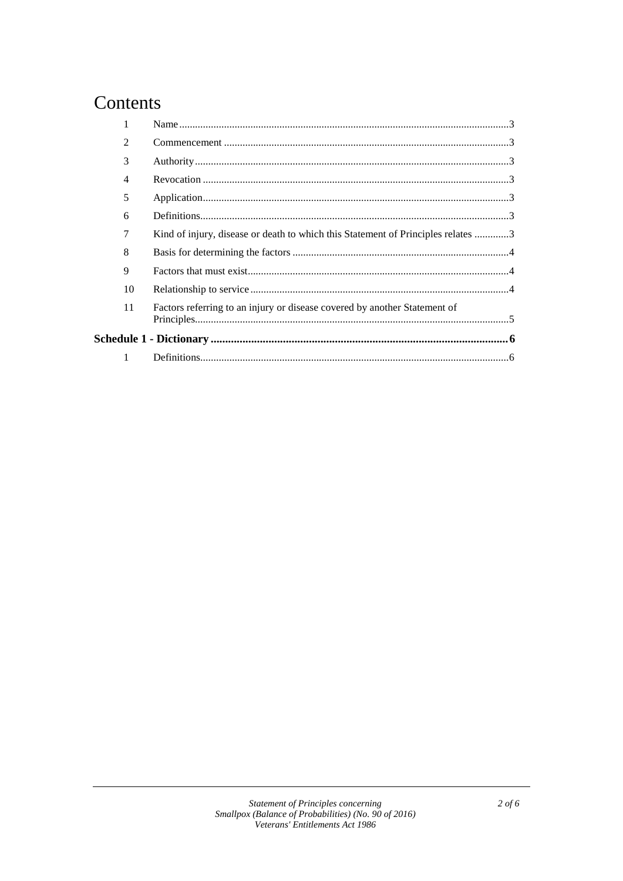# Contents

|  | $\mathfrak{D}$ |                                                                                  |  |
|--|----------------|----------------------------------------------------------------------------------|--|
|  | 3              |                                                                                  |  |
|  | 4              |                                                                                  |  |
|  | 5              |                                                                                  |  |
|  | 6              |                                                                                  |  |
|  | 7              | Kind of injury, disease or death to which this Statement of Principles relates 3 |  |
|  | 8              |                                                                                  |  |
|  | 9              |                                                                                  |  |
|  | 10             |                                                                                  |  |
|  | 11             | Factors referring to an injury or disease covered by another Statement of        |  |
|  |                |                                                                                  |  |
|  |                |                                                                                  |  |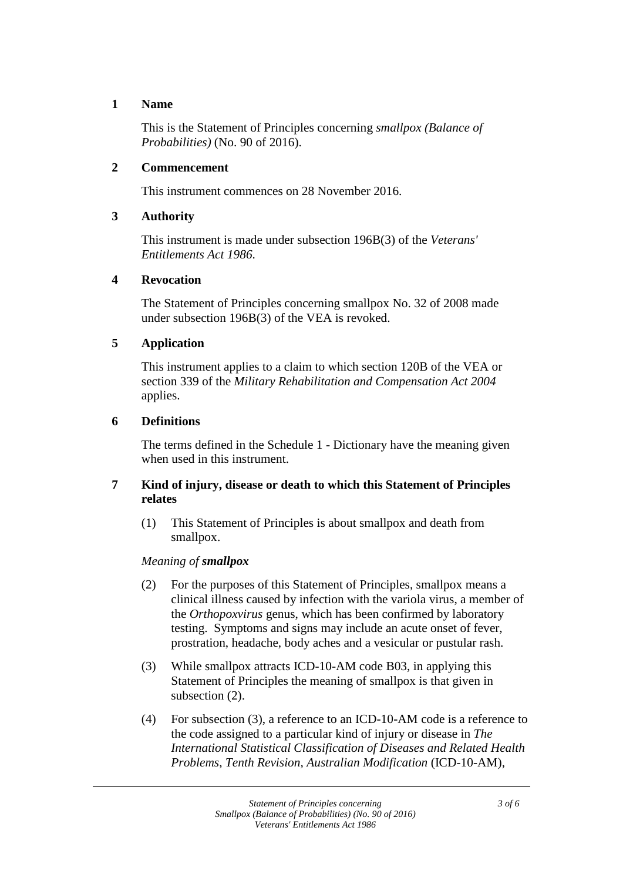### **1 Name**

This is the Statement of Principles concerning *smallpox (Balance of Probabilities)* (No. 90 of 2016).

## **2 Commencement**

This instrument commences on 28 November 2016.

# **3 Authority**

This instrument is made under subsection 196B(3) of the *Veterans' Entitlements Act 1986*.

#### **4 Revocation**

The Statement of Principles concerning smallpox No. 32 of 2008 made under subsection 196B(3) of the VEA is revoked.

# **5 Application**

This instrument applies to a claim to which section 120B of the VEA or section 339 of the *Military Rehabilitation and Compensation Act 2004* applies.

# **6 Definitions**

The terms defined in the Schedule 1 - Dictionary have the meaning given when used in this instrument.

# **7 Kind of injury, disease or death to which this Statement of Principles relates**

(1) This Statement of Principles is about smallpox and death from smallpox.

# *Meaning of smallpox*

- (2) For the purposes of this Statement of Principles, smallpox means a clinical illness caused by infection with the variola virus, a member of the *Orthopoxvirus* genus, which has been confirmed by laboratory testing. Symptoms and signs may include an acute onset of fever, prostration, headache, body aches and a vesicular or pustular rash.
- (3) While smallpox attracts ICD-10-AM code B03, in applying this Statement of Principles the meaning of smallpox is that given in subsection (2).
- (4) For subsection (3), a reference to an ICD-10-AM code is a reference to the code assigned to a particular kind of injury or disease in *The International Statistical Classification of Diseases and Related Health Problems*, *Tenth Revision, Australian Modification* (ICD-10-AM),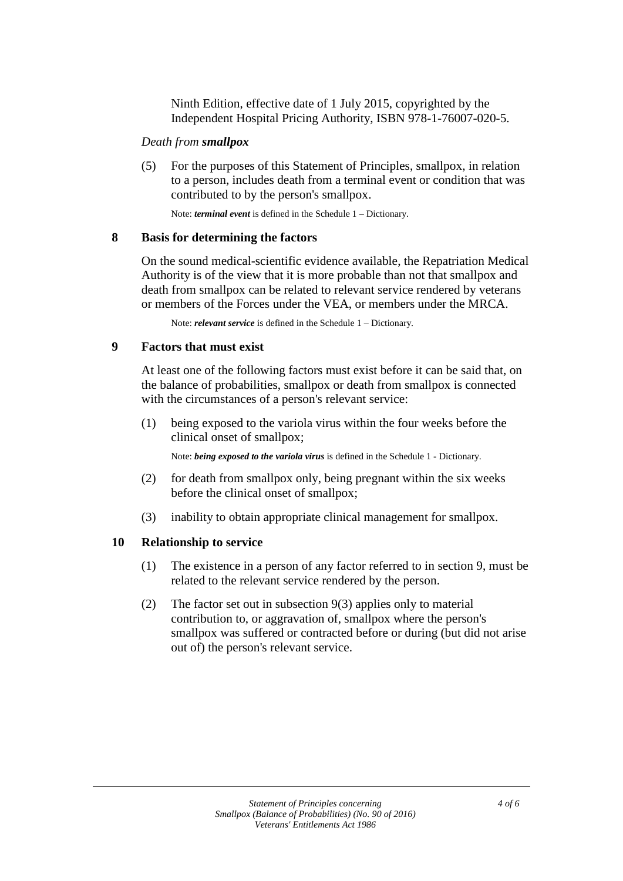Ninth Edition, effective date of 1 July 2015, copyrighted by the Independent Hospital Pricing Authority, ISBN 978-1-76007-020-5.

#### *Death from smallpox*

(5) For the purposes of this Statement of Principles, smallpox, in relation to a person, includes death from a terminal event or condition that was contributed to by the person's smallpox.

Note: *terminal event* is defined in the Schedule 1 – Dictionary.

# **8 Basis for determining the factors**

On the sound medical-scientific evidence available, the Repatriation Medical Authority is of the view that it is more probable than not that smallpox and death from smallpox can be related to relevant service rendered by veterans or members of the Forces under the VEA, or members under the MRCA.

Note: *relevant service* is defined in the Schedule 1 – Dictionary.

#### **9 Factors that must exist**

At least one of the following factors must exist before it can be said that, on the balance of probabilities, smallpox or death from smallpox is connected with the circumstances of a person's relevant service:

(1) being exposed to the variola virus within the four weeks before the clinical onset of smallpox;

Note: *being exposed to the variola virus* is defined in the Schedule 1 - Dictionary.

- (2) for death from smallpox only, being pregnant within the six weeks before the clinical onset of smallpox;
- (3) inability to obtain appropriate clinical management for smallpox.

# **10 Relationship to service**

- (1) The existence in a person of any factor referred to in section 9, must be related to the relevant service rendered by the person.
- (2) The factor set out in subsection 9(3) applies only to material contribution to, or aggravation of, smallpox where the person's smallpox was suffered or contracted before or during (but did not arise out of) the person's relevant service.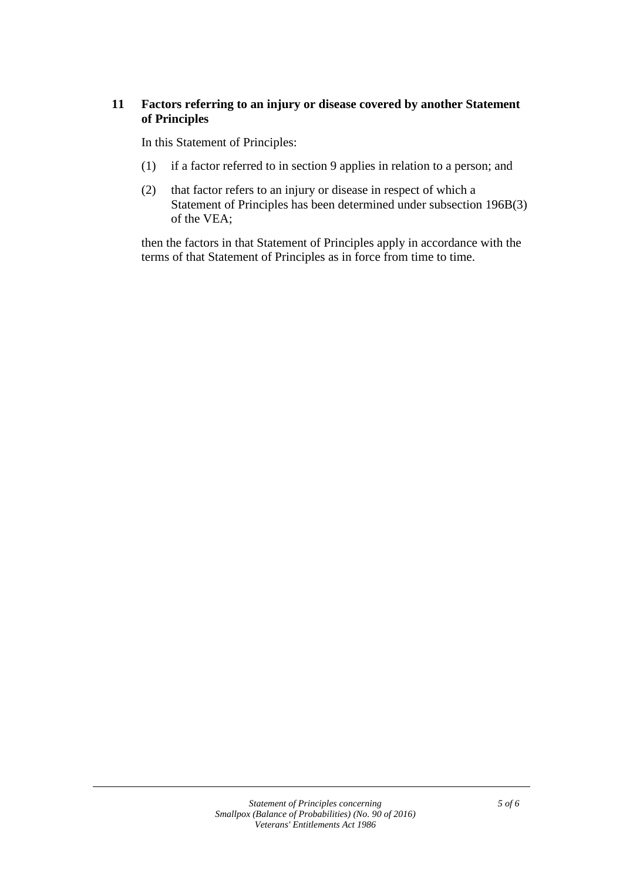# **11 Factors referring to an injury or disease covered by another Statement of Principles**

In this Statement of Principles:

- (1) if a factor referred to in section 9 applies in relation to a person; and
- (2) that factor refers to an injury or disease in respect of which a Statement of Principles has been determined under subsection 196B(3) of the VEA;

then the factors in that Statement of Principles apply in accordance with the terms of that Statement of Principles as in force from time to time.